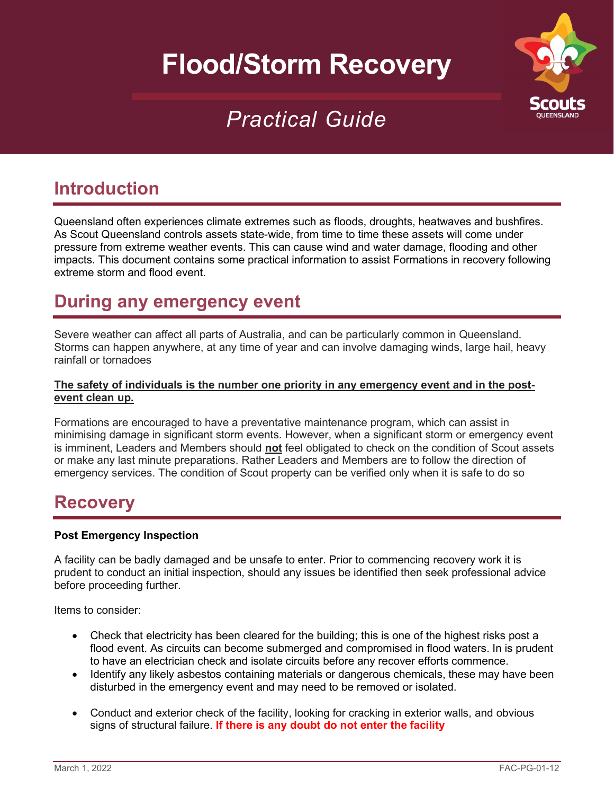# Flood/Storm Recovery



## Practical Guide

### Introduction

Queensland often experiences climate extremes such as floods, droughts, heatwaves and bushfires. As Scout Queensland controls assets state-wide, from time to time these assets will come under pressure from extreme weather events. This can cause wind and water damage, flooding and other impacts. This document contains some practical information to assist Formations in recovery following extreme storm and flood event.

### During any emergency event

Severe weather can affect all parts of Australia, and can be particularly common in Queensland. Storms can happen anywhere, at any time of year and can involve damaging winds, large hail, heavy rainfall or tornadoes

#### The safety of individuals is the number one priority in any emergency event and in the postevent clean up.

Formations are encouraged to have a preventative maintenance program, which can assist in minimising damage in significant storm events. However, when a significant storm or emergency event is imminent, Leaders and Members should not feel obligated to check on the condition of Scout assets or make any last minute preparations. Rather Leaders and Members are to follow the direction of emergency services. The condition of Scout property can be verified only when it is safe to do so

### Recovery

#### Post Emergency Inspection

A facility can be badly damaged and be unsafe to enter. Prior to commencing recovery work it is prudent to conduct an initial inspection, should any issues be identified then seek professional advice before proceeding further.

Items to consider:

- Check that electricity has been cleared for the building; this is one of the highest risks post a flood event. As circuits can become submerged and compromised in flood waters. In is prudent to have an electrician check and isolate circuits before any recover efforts commence.
- Identify any likely asbestos containing materials or dangerous chemicals, these may have been disturbed in the emergency event and may need to be removed or isolated.
- Conduct and exterior check of the facility, looking for cracking in exterior walls, and obvious signs of structural failure. If there is any doubt do not enter the facility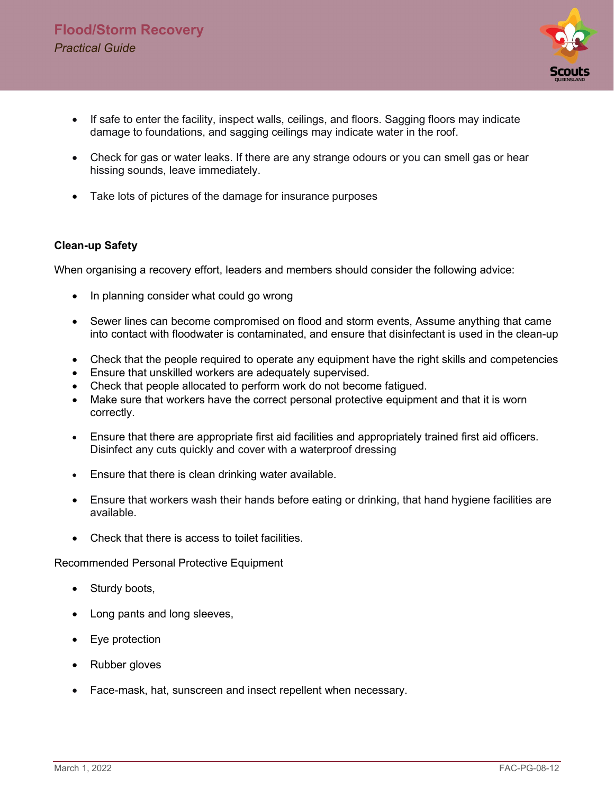

- If safe to enter the facility, inspect walls, ceilings, and floors. Sagging floors may indicate damage to foundations, and sagging ceilings may indicate water in the roof.
- Check for gas or water leaks. If there are any strange odours or you can smell gas or hear hissing sounds, leave immediately.
- Take lots of pictures of the damage for insurance purposes

#### Clean-up Safety

When organising a recovery effort, leaders and members should consider the following advice:

- In planning consider what could go wrong
- Sewer lines can become compromised on flood and storm events, Assume anything that came into contact with floodwater is contaminated, and ensure that disinfectant is used in the clean-up
- Check that the people required to operate any equipment have the right skills and competencies
- Ensure that unskilled workers are adequately supervised.
- Check that people allocated to perform work do not become fatigued.
- Make sure that workers have the correct personal protective equipment and that it is worn correctly.
- Ensure that there are appropriate first aid facilities and appropriately trained first aid officers. Disinfect any cuts quickly and cover with a waterproof dressing
- Ensure that there is clean drinking water available.
- Ensure that workers wash their hands before eating or drinking, that hand hygiene facilities are available.
- Check that there is access to toilet facilities.

Recommended Personal Protective Equipment

- Sturdy boots,
- Long pants and long sleeves,
- Eye protection
- Rubber gloves
- Face-mask, hat, sunscreen and insect repellent when necessary.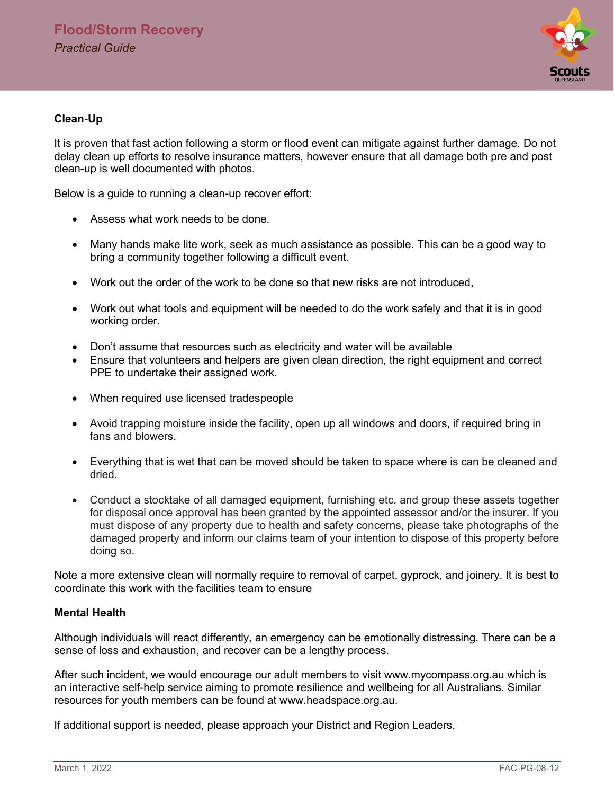

#### Clean-Up

It is proven that fast action following a storm or flood event can mitigate against further damage. Do not delay clean up efforts to resolve insurance matters, however ensure that all damage both pre and post clean-up is well documented with photos.

Below is a guide to running a clean-up recover effort:

- Assess what work needs to be done.
- Many hands make lite work, seek as much assistance as possible. This can be a good way to bring a community together following a difficult event.
- Work out the order of the work to be done so that new risks are not introduced,
- Work out what tools and equipment will be needed to do the work safely and that it is in good working order.
- Don't assume that resources such as electricity and water will be available
- Ensure that volunteers and helpers are given clean direction, the right equipment and correct PPE to undertake their assigned work.
- When required use licensed tradespeople
- Avoid trapping moisture inside the facility, open up all windows and doors, if required bring in fans and blowers.
- Everything that is wet that can be moved should be taken to space where is can be cleaned and dried.
- Conduct a stocktake of all damaged equipment, furnishing etc. and group these assets together for disposal once approval has been granted by the appointed assessor and/or the insurer. If you must dispose of any property due to health and safety concerns, please take photographs of the damaged property and inform our claims team of your intention to dispose of this property before doing so.

Note a more extensive clean will normally require to removal of carpet, gyprock, and joinery. It is best to coordinate this work with the facilities team to ensure

#### Mental Health

Although individuals will react differently, an emergency can be emotionally distressing. There can be a sense of loss and exhaustion, and recover can be a lengthy process.

After such incident, we would encourage our adult members to visit www.mycompass.org.au which is an interactive self-help service aiming to promote resilience and wellbeing for all Australians. Similar resources for youth members can be found at www.headspace.org.au.

If additional support is needed, please approach your District and Region Leaders.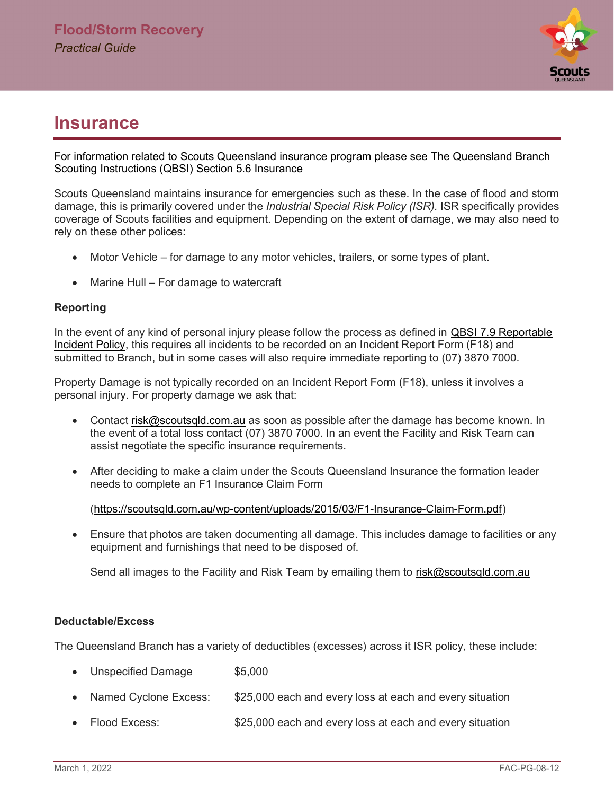

### **Insurance**

For information related to Scouts Queensland insurance program please see The Queensland Branch Scouting Instructions (QBSI) Section 5.6 Insurance

Scouts Queensland maintains insurance for emergencies such as these. In the case of flood and storm damage, this is primarily covered under the *Industrial Special Risk Policy (ISR)*. ISR specifically provides coverage of Scouts facilities and equipment. Depending on the extent of damage, we may also need to rely on these other polices:

- Motor Vehicle for damage to any motor vehicles, trailers, or some types of plant.
- Marine Hull For damage to watercraft

#### Reporting

In the event of any kind of personal injury please follow the process as defined in QBSI 7.9 Reportable Incident Policy, this requires all incidents to be recorded on an Incident Report Form (F18) and submitted to Branch, but in some cases will also require immediate reporting to (07) 3870 7000.

Property Damage is not typically recorded on an Incident Report Form (F18), unless it involves a personal injury. For property damage we ask that:

- Contact risk@scoutsqld.com.au as soon as possible after the damage has become known. In the event of a total loss contact (07) 3870 7000. In an event the Facility and Risk Team can assist negotiate the specific insurance requirements.
- After deciding to make a claim under the Scouts Queensland Insurance the formation leader needs to complete an F1 Insurance Claim Form

(https://scoutsqld.com.au/wp-content/uploads/2015/03/F1-Insurance-Claim-Form.pdf)

 Ensure that photos are taken documenting all damage. This includes damage to facilities or any equipment and furnishings that need to be disposed of.

Send all images to the Facility and Risk Team by emailing them to risk@scoutsqld.com.au

#### Deductable/Excess

The Queensland Branch has a variety of deductibles (excesses) across it ISR policy, these include:

- Unspecified Damage \$5,000
- Named Cyclone Excess: \$25,000 each and every loss at each and every situation
- Flood Excess: \$25,000 each and every loss at each and every situation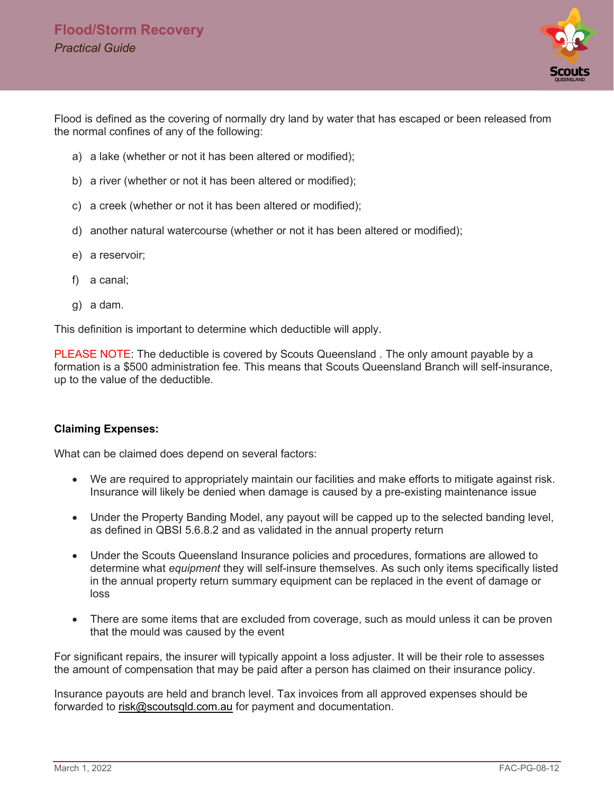

Flood is defined as the covering of normally dry land by water that has escaped or been released from the normal confines of any of the following:

- a) a lake (whether or not it has been altered or modified);
- b) a river (whether or not it has been altered or modified);
- c) a creek (whether or not it has been altered or modified);
- d) another natural watercourse (whether or not it has been altered or modified);
- e) a reservoir;
- f) a canal;
- g) a dam.

This definition is important to determine which deductible will apply.

PLEASE NOTE: The deductible is covered by Scouts Queensland . The only amount payable by a formation is a \$500 administration fee. This means that Scouts Queensland Branch will self-insurance, up to the value of the deductible.

#### Claiming Expenses:

What can be claimed does depend on several factors:

- We are required to appropriately maintain our facilities and make efforts to mitigate against risk. Insurance will likely be denied when damage is caused by a pre-existing maintenance issue
- Under the Property Banding Model, any payout will be capped up to the selected banding level, as defined in QBSI 5.6.8.2 and as validated in the annual property return
- Under the Scouts Queensland Insurance policies and procedures, formations are allowed to determine what equipment they will self-insure themselves. As such only items specifically listed in the annual property return summary equipment can be replaced in the event of damage or loss
- There are some items that are excluded from coverage, such as mould unless it can be proven that the mould was caused by the event

For significant repairs, the insurer will typically appoint a loss adjuster. It will be their role to assesses the amount of compensation that may be paid after a person has claimed on their insurance policy.

Insurance payouts are held and branch level. Tax invoices from all approved expenses should be forwarded to risk@scoutsqld.com.au for payment and documentation.